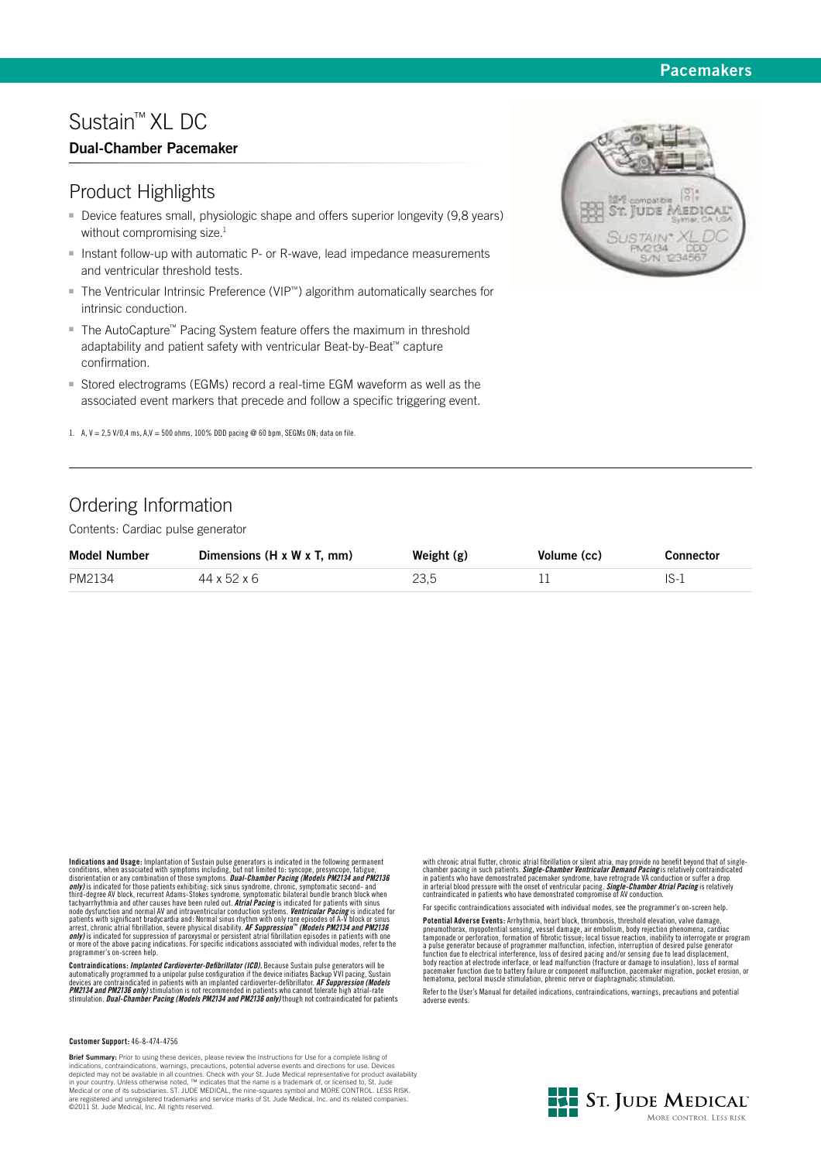## **Pacemakers**

# Sustain™ XL DC

## **Dual-Chamber Pacemaker**

## Product Highlights

- Device features small, physiologic shape and offers superior longevity (9,8 years) without compromising size.<sup>1</sup>
- **Instant follow-up with automatic P- or R-wave, lead impedance measurements** and ventricular threshold tests.
- - The Ventricular Intrinsic Preference (VIP™) algorithm automatically searches for intrinsic conduction.
- The AutoCapture™ Pacing System feature offers the maximum in threshold adaptability and patient safety with ventricular Beat-by-Beat™ capture confirmation.
- - Stored electrograms (EGMs) record a real-time EGM waveform as well as the associated event markers that precede and follow a specific triggering event.
- 1. A,  $V = 2.5$  V/0,4 ms, A, $V = 500$  ohms, 100% DDD pacing @ 60 bpm, SEGMs ON; data on file.

## Ordering Information

Contents: Cardiac pulse generator

| <b>Model Number</b> | Dimensions $(H \times W \times T, \text{mm})$ | Weight $(g)$ | Volume (cc) | <b>Connector</b> |
|---------------------|-----------------------------------------------|--------------|-------------|------------------|
| PM2134              | 44 x 52 x 6                                   | 23.5         |             |                  |

Indications and Usage: Implantation of Sustian pulse generators is indicated in the following permanent conditions, when associated with symptoms including, but not limited to: syncope, presyncope, fatigue, disorientation

Contraindications: *Implanted Cardioverter-Defibrillator (ICD).* Because Sustain pulse generators will be<br>automatically programmed to a unipolar pulse configuration if the device initiates Backup VVI pacing, Sustain<br>device

#### **Customer Support:** 46-8-474-4756

**Brief Summary:** Prior to using these devices, please review the Instructions for Use for a complete listing of indications, contraindications, warnings, precautions, potential adverse events and directions for use. Devices depicted may not be available in all countries. Check with your St. Jude Medical representative for product availability<br>in your country. Unless otherwise noted, ™ indicates that the name is a trademark of, or licensed to,

with chronic atrial flutter, chronic atrial fibrillation or silent atria, may provide no benefit beyond that of single-<br>chamber pacing in such patients. *Single-Chamber Ventricular Demand Pacing* is relatively contraindica

For specific contraindications associated with individual modes, see the programmer's on-screen help.

**Potential Adverse Events:** Arrhythmia, heart block, thrombosis, threshold elevation, valve damage, presentation spacify consisted tamps are expected to the componant cardiac champonade or perforation, formation of fibroti

Refer to the User's Manual for detailed indications, contraindications, warnings, precautions and potential adverse events.